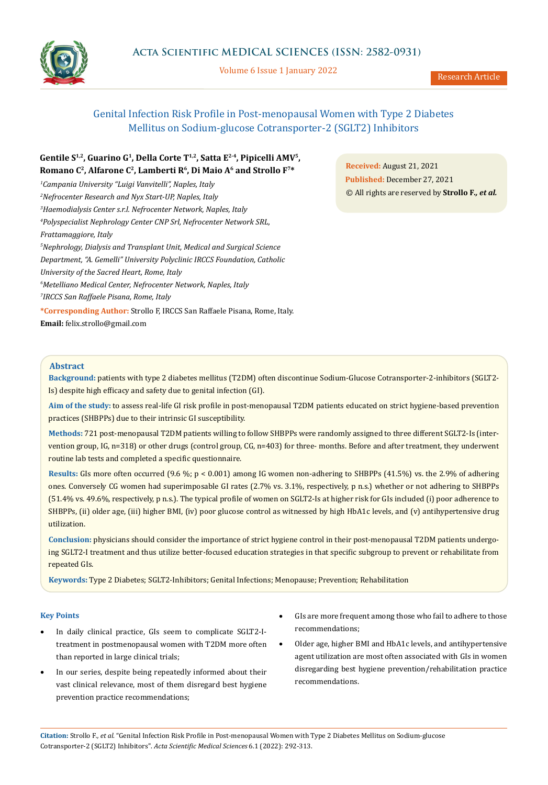

Volume 6 Issue 1 January 2022

# Genital Infection Risk Profile in Post-menopausal Women with Type 2 Diabetes Mellitus on Sodium-glucose Cotransporter-2 (SGLT2) Inhibitors

# **Gentile S1,2, Guarino G1, Della Corte T1,2, Satta E2-4, Pipicelli AMV5, Romano C2, Alfarone C2, Lamberti R6, Di Maio A6 and Strollo F7\***

*1 Campania University "Luigi Vanvitelli", Naples, Italy 2 Nefrocenter Research and Nyx Start-UP, Naples, Italy 3 Haemodialysis Center s.r.l. Nefrocenter Network, Naples, Italy 4 Polyspecialist Nephrology Center CNP Srl, Nefrocenter Network SRL, Frattamaggiore, Italy 5 Nephrology, Dialysis and Transplant Unit, Medical and Surgical Science Department, "A. Gemelli" University Polyclinic IRCCS Foundation, Catholic University of the Sacred Heart, Rome, Italy 6 Metelliano Medical Center, Nefrocenter Network, Naples, Italy 7 IRCCS San Raffaele Pisana, Rome, Italy* **\*Corresponding Author:** Strollo F, IRCCS San Raffaele Pisana, Rome, Italy. **Email:** [felix.strollo@gmail.com](mailto:felix.strollo%40gmail.com?subject=)

**Received:** August 21, 2021 **Published:** December 27, 2021 © All rights are reserved by **Strollo F***., et al.*

# **Abstract**

**Background:** patients with type 2 diabetes mellitus (T2DM) often discontinue Sodium-Glucose Cotransporter-2-inhibitors (SGLT2- Is) despite high efficacy and safety due to genital infection (GI).

**Aim of the study:** to assess real-life GI risk profile in post-menopausal T2DM patients educated on strict hygiene-based prevention practices (SHBPPs) due to their intrinsic GI susceptibility.

**Methods:** 721 post-menopausal T2DM patients willing to follow SHBPPs were randomly assigned to three different SGLT2-Is (intervention group, IG, n=318) or other drugs (control group, CG, n=403) for three- months. Before and after treatment, they underwent routine lab tests and completed a specific questionnaire.

**Results:** GIs more often occurred (9.6 %; p < 0.001) among IG women non-adhering to SHBPPs (41.5%) vs. the 2.9% of adhering ones. Conversely CG women had superimposable GI rates (2.7% vs. 3.1%, respectively, p n.s.) whether or not adhering to SHBPPs (51.4% vs. 49.6%, respectively, p n.s.). The typical profile of women on SGLT2-Is at higher risk for GIs included (i) poor adherence to SHBPPs, (ii) older age, (iii) higher BMI, (iv) poor glucose control as witnessed by high HbA1c levels, and (v) antihypertensive drug utilization.

**Conclusion:** physicians should consider the importance of strict hygiene control in their post-menopausal T2DM patients undergoing SGLT2-I treatment and thus utilize better-focused education strategies in that specific subgroup to prevent or rehabilitate from repeated GIs.

**Keywords:** Type 2 Diabetes; SGLT2-Inhibitors; Genital Infections; Menopause; Prevention; Rehabilitation

# **Key Points**

- In daily clinical practice, GIs seem to complicate SGLT2-Itreatment in postmenopausal women with T2DM more often than reported in large clinical trials;
- In our series, despite being repeatedly informed about their vast clinical relevance, most of them disregard best hygiene prevention practice recommendations;
- GIs are more frequent among those who fail to adhere to those recommendations;
- • Older age, higher BMI and HbA1c levels, and antihypertensive agent utilization are most often associated with GIs in women disregarding best hygiene prevention/rehabilitation practice recommendations.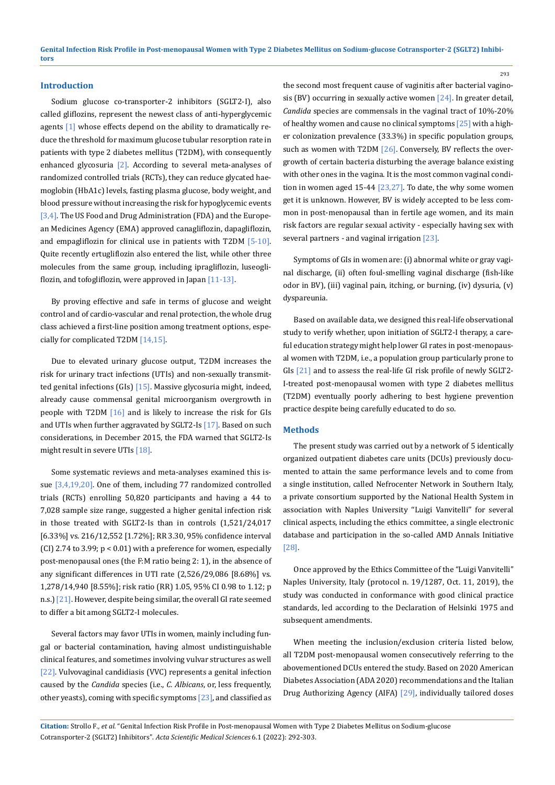#### **Introduction**

Sodium glucose co-transporter-2 inhibitors (SGLT2-I), also called gliflozins, represent the newest class of anti-hyperglycemic agents [1] whose effects depend on the ability to dramatically reduce the threshold for maximum glucose tubular resorption rate in patients with type 2 diabetes mellitus (T2DM), with consequently enhanced glycosuria [2]. According to several meta-analyses of randomized controlled trials (RCTs), they can reduce glycated haemoglobin (HbA1c) levels, fasting plasma glucose, body weight, and blood pressure without increasing the risk for hypoglycemic events [3,4]. The US Food and Drug Administration (FDA) and the European Medicines Agency (EMA) approved canagliflozin, dapagliflozin, and empagliflozin for clinical use in patients with T2DM [5-10]. Quite recently ertugliflozin also entered the list, while other three molecules from the same group, including ipragliflozin, luseogliflozin, and tofogliflozin, were approved in Japan [11-13].

By proving effective and safe in terms of glucose and weight control and of cardio-vascular and renal protection, the whole drug class achieved a first-line position among treatment options, especially for complicated T2DM [14,15].

Due to elevated urinary glucose output, T2DM increases the risk for urinary tract infections (UTIs) and non-sexually transmitted genital infections (GIs) [15]. Massive glycosuria might, indeed, already cause commensal genital microorganism overgrowth in people with T2DM [16] and is likely to increase the risk for GIs and UTIs when further aggravated by SGLT2-Is [17]. Based on such considerations, in December 2015, the FDA warned that SGLT2-Is might result in severe UTIs [18].

Some systematic reviews and meta-analyses examined this issue [3,4,19,20]. One of them, including 77 randomized controlled trials (RCTs) enrolling 50,820 participants and having a 44 to 7,028 sample size range, suggested a higher genital infection risk in those treated with SGLT2-Is than in controls (1,521/24,017 [6.33%] vs. 216/12,552 [1.72%]; RR 3.30, 95% confidence interval (CI) 2.74 to 3.99;  $p < 0.01$ ) with a preference for women, especially post-menopausal ones (the F:M ratio being 2: 1), in the absence of any significant differences in UTI rate (2,526/29,086 [8.68%] vs. 1,278/14,940 [8.55%]; risk ratio (RR) 1.05, 95% CI 0.98 to 1.12; p n.s.) [21]. However, despite being similar, the overall GI rate seemed to differ a bit among SGLT2-I molecules.

Several factors may favor UTIs in women, mainly including fungal or bacterial contamination, having almost undistinguishable clinical features, and sometimes involving vulvar structures as well [22]. Vulvovaginal candidiasis (VVC) represents a genital infection caused by the *Candida* species (i.e., *C. Albicans*, or, less frequently, other yeasts), coming with specific symptoms [23], and classified as the second most frequent cause of vaginitis after bacterial vaginosis (BV) occurring in sexually active women [24]. In greater detail, *Candida* species are commensals in the vaginal tract of 10%‐20% of healthy women and cause no clinical symptoms [25] with a higher colonization prevalence (33.3%) in specific population groups, such as women with T2DM [26]. Conversely, BV reflects the overgrowth of certain bacteria disturbing the average balance existing with other ones in the vagina. It is the most common vaginal condition in women aged 15-44 [23,27]. To date, the why some women get it is unknown. However, BV is widely accepted to be less common in post-menopausal than in fertile age women, and its main risk factors are regular sexual activity - especially having sex with several partners - and vaginal irrigation [23].

293

Symptoms of GIs in women are: (i) abnormal white or gray vaginal discharge, (ii) often foul-smelling vaginal discharge (fish-like odor in BV), (iii) vaginal pain, itching, or burning, (iv) dysuria, (v) dyspareunia.

Based on available data, we designed this real-life observational study to verify whether, upon initiation of SGLT2-I therapy, a careful education strategy might help lower GI rates in post-menopausal women with T2DM, i.e., a population group particularly prone to GIs [21] and to assess the real-life GI risk profile of newly SGLT2- I-treated post-menopausal women with type 2 diabetes mellitus (T2DM) eventually poorly adhering to best hygiene prevention practice despite being carefully educated to do so.

#### **Methods**

The present study was carried out by a network of 5 identically organized outpatient diabetes care units (DCUs) previously documented to attain the same performance levels and to come from a single institution, called Nefrocenter Network in Southern Italy, a private consortium supported by the National Health System in association with Naples University ''Luigi Vanvitelli'' for several clinical aspects, including the ethics committee, a single electronic database and participation in the so-called AMD Annals Initiative [28].

Once approved by the Ethics Committee of the "Luigi Vanvitelli" Naples University, Italy (protocol n. 19/1287, Oct. 11, 2019), the study was conducted in conformance with good clinical practice standards, led according to the Declaration of Helsinki 1975 and subsequent amendments.

When meeting the inclusion/exclusion criteria listed below, all T2DM post-menopausal women consecutively referring to the abovementioned DCUs entered the study. Based on 2020 American Diabetes Association (ADA 2020) recommendations and the Italian Drug Authorizing Agency (AIFA) [29], individually tailored doses

**Citation:** Strollo F*., et al.* "Genital Infection Risk Profile in Post-menopausal Women with Type 2 Diabetes Mellitus on Sodium-glucose Cotransporter-2 (SGLT2) Inhibitors". *Acta Scientific Medical Sciences* 6.1 (2022): 292-303.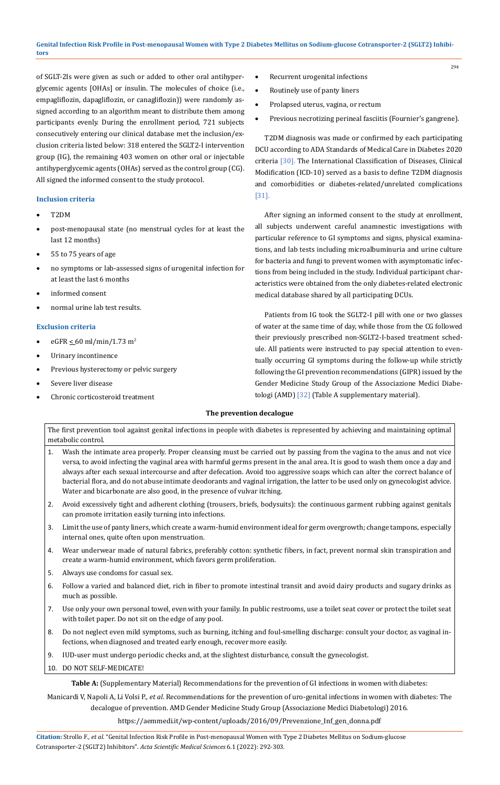of SGLT-2Is were given as such or added to other oral antihyperglycemic agents [OHAs] or insulin. The molecules of choice (i.e., empagliflozin, dapagliflozin, or canagliflozin)) were randomly assigned according to an algorithm meant to distribute them among participants evenly. During the enrollment period, 721 subjects consecutively entering our clinical database met the inclusion/exclusion criteria listed below: 318 entered the SGLT2-I intervention group (IG), the remaining 403 women on other oral or injectable antihyperglycemic agents (OHAs) served as the control group (CG). All signed the informed consent to the study protocol.

# **Inclusion criteria**

- T2DM
- post-menopausal state (no menstrual cycles for at least the last 12 months)
- 55 to 75 years of age
- no symptoms or lab-assessed signs of urogenital infection for at least the last 6 months
- informed consent
- normal urine lab test results.

# **Exclusion criteria**

- eGFR  $\leq 60$  ml/min/1.73 m<sup>2</sup>
- Urinary incontinence
- Previous hysterectomy or pelvic surgery
- Severe liver disease
- Chronic corticosteroid treatment
- Recurrent urogenital infections
- Routinely use of panty liners
- Prolapsed uterus, vagina, or rectum
- Previous necrotizing perineal fasciitis (Fournier's gangrene).

T2DM diagnosis was made or confirmed by each participating DCU according to ADA Standards of Medical Care in Diabetes 2020 criteria [30]. The International Classification of Diseases, Clinical Modification (ICD-10) served as a basis to define T2DM diagnosis and comorbidities or diabetes-related/unrelated complications [31].

After signing an informed consent to the study at enrollment, all subjects underwent careful anamnestic investigations with particular reference to GI symptoms and signs, physical examinations, and lab tests including microalbuminuria and urine culture for bacteria and fungi to prevent women with asymptomatic infections from being included in the study. Individual participant characteristics were obtained from the only diabetes-related electronic medical database shared by all participating DCUs.

Patients from IG took the SGLT2-I pill with one or two glasses of water at the same time of day, while those from the CG followed their previously prescribed non-SGLT2-I-based treatment schedule. All patients were instructed to pay special attention to eventually occurring GI symptoms during the follow-up while strictly following the GI prevention recommendations (GIPR) issued by the Gender Medicine Study Group of the Associazione Medici Diabetologi (AMD) [32] (Table A supplementary material).

# **The prevention decalogue**

The first prevention tool against genital infections in people with diabetes is represented by achieving and maintaining optimal metabolic control.

- 1. Wash the intimate area properly. Proper cleansing must be carried out by passing from the vagina to the anus and not vice versa, to avoid infecting the vaginal area with harmful germs present in the anal area. It is good to wash them once a day and always after each sexual intercourse and after defecation. Avoid too aggressive soaps which can alter the correct balance of bacterial flora, and do not abuse intimate deodorants and vaginal irrigation, the latter to be used only on gynecologist advice. Water and bicarbonate are also good, in the presence of vulvar itching.
- 2. Avoid excessively tight and adherent clothing (trousers, briefs, bodysuits): the continuous garment rubbing against genitals can promote irritation easily turning into infections.
- 3. Limit the use of panty liners, which create a warm-humid environment ideal for germ overgrowth; change tampons, especially internal ones, quite often upon menstruation.
- 4. Wear underwear made of natural fabrics, preferably cotton: synthetic fibers, in fact, prevent normal skin transpiration and create a warm-humid environment, which favors germ proliferation.
- 5. Always use condoms for casual sex.
- 6. Follow a varied and balanced diet, rich in fiber to promote intestinal transit and avoid dairy products and sugary drinks as much as possible.
- 7. Use only your own personal towel, even with your family. In public restrooms, use a toilet seat cover or protect the toilet seat with toilet paper. Do not sit on the edge of any pool.
- 8. Do not neglect even mild symptoms, such as burning, itching and foul-smelling discharge: consult your doctor, as vaginal infections, when diagnosed and treated early enough, recover more easily.
- 9. IUD-user must undergo periodic checks and, at the slightest disturbance, consult the gynecologist.
- 10. DO NOT SELF-MEDICATE!

**Table A:** (Supplementary Material) Recommendations for the prevention of GI infections in women with diabetes:

Manicardi V, Napoli A, Li Volsi P., *et al*. Recommendations for the prevention of uro-genital infections in women with diabetes: The decalogue of prevention. AMD Gender Medicine Study Group (Associazione Medici Diabetologi) 2016.

[https://aemmedi.it/wp-content/uploads/2016/09/Prevenzione\\_Inf\\_gen\\_donna.pdf](https://aemmedi.it/wp-content/uploads/2016/09/Prevenzione_Inf_gen_donna.pdf)

294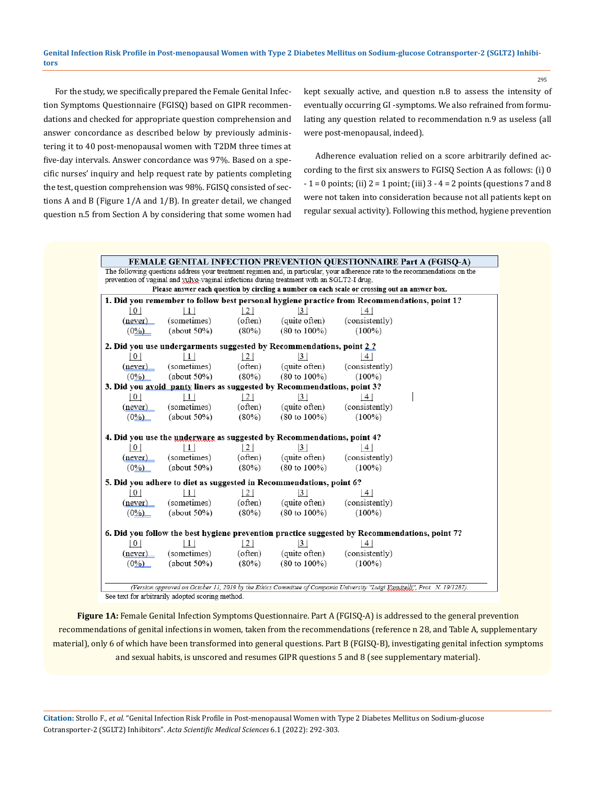For the study, we specifically prepared the Female Genital Infection Symptoms Questionnaire (FGISQ) based on GIPR recommendations and checked for appropriate question comprehension and answer concordance as described below by previously administering it to 40 post-menopausal women with T2DM three times at five-day intervals. Answer concordance was 97%. Based on a specific nurses' inquiry and help request rate by patients completing the test, question comprehension was 98%. FGISQ consisted of sections A and B (Figure 1/A and 1/B). In greater detail, we changed question n.5 from Section A by considering that some women had kept sexually active, and question n.8 to assess the intensity of eventually occurring GI -symptoms. We also refrained from formulating any question related to recommendation n.9 as useless (all were post-menopausal, indeed).

295

Adherence evaluation relied on a score arbitrarily defined according to the first six answers to FGISQ Section A as follows: (i) 0  $-1 = 0$  points; (ii)  $2 = 1$  point; (iii)  $3 - 4 = 2$  points (questions 7 and 8 were not taken into consideration because not all patients kept on regular sexual activity). Following this method, hygiene prevention

| <b>FEMALE GENITAL INFECTION PREVENTION QUESTIONNAIRE Part A (FGISQ-A)</b>                                                    |                                                                                 |                |                          |                       |  |  |  |
|------------------------------------------------------------------------------------------------------------------------------|---------------------------------------------------------------------------------|----------------|--------------------------|-----------------------|--|--|--|
| The following questions address your treatment regimen and, in particular, your adherence rate to the recommendations on the |                                                                                 |                |                          |                       |  |  |  |
| prevention of vaginal and vulvo-vaginal infections during treatment with an SGLT2-I drug.                                    |                                                                                 |                |                          |                       |  |  |  |
| Please answer each question by circling a number on each scale or crossing out an answer box.                                |                                                                                 |                |                          |                       |  |  |  |
| 1. Did you remember to follow best personal hygiene practice from Recommendations, point 1?                                  |                                                                                 |                |                          |                       |  |  |  |
| 0                                                                                                                            | $\perp$                                                                         | 2              | 3                        | 4                     |  |  |  |
| (never)                                                                                                                      | (sometimes)                                                                     | (often)        | (quite often)            | (consistently)        |  |  |  |
| $(0\%)$                                                                                                                      | $(about 50\%)$                                                                  | (80%)          | $(80 \text{ to } 100\%)$ | $(100\%)$             |  |  |  |
|                                                                                                                              | 2. Did you use undergarments suggested by Recommendations, point 2.2            |                |                          |                       |  |  |  |
| $\vert 0 \vert$                                                                                                              | $\perp$                                                                         | 2              | 3                        | 4                     |  |  |  |
| (never)                                                                                                                      | (sometimes)                                                                     | (often)        | (quite often)            | (consistently)        |  |  |  |
| $(0\%)$                                                                                                                      | $(about 50\%)$                                                                  | $(80\%)$       | $(80 \text{ to } 100\%)$ | $(100\%)$             |  |  |  |
|                                                                                                                              | 3. Did you avoid panty liners as suggested by Recommendations, point 3?         |                |                          |                       |  |  |  |
| 0 <sup>1</sup>                                                                                                               |                                                                                 | 2              | 3                        | 4                     |  |  |  |
| (never)                                                                                                                      | (sometimes)                                                                     | (often)        | (quite often)            | (consistently)        |  |  |  |
| $(0\%)$                                                                                                                      | $(about 50\%)$                                                                  | $(80\%)$       | $(80 \text{ to } 100\%)$ | $(100\%)$             |  |  |  |
|                                                                                                                              |                                                                                 |                |                          |                       |  |  |  |
|                                                                                                                              | 4. Did you use the underware as suggested by Recommendations, point 4?<br>l 1 l |                |                          |                       |  |  |  |
| 0                                                                                                                            |                                                                                 | 2 <sub>1</sub> | 3 <br>(quite often)      | 4 <br>(consistently)  |  |  |  |
| (never)                                                                                                                      | (sometimes)                                                                     | (often)        |                          |                       |  |  |  |
| $(0\%)$                                                                                                                      | $(about 50\%)$                                                                  | $(80\%)$       | $(80 \text{ to } 100\%)$ | $(100\%)$             |  |  |  |
|                                                                                                                              | 5. Did you adhere to diet as suggested in Recommendations, point 6?             |                |                          |                       |  |  |  |
| 0                                                                                                                            | $\vert$ 1 $\vert$                                                               | 2              | 3                        | 4                     |  |  |  |
| (never)                                                                                                                      | (sometimes)                                                                     | (often)        | (quite often)            | (consistently)        |  |  |  |
| $(0\%)$                                                                                                                      | $(about 50\%)$                                                                  | $(80\%)$       | $(80 \text{ to } 100\%)$ | $(100\%)$             |  |  |  |
| 6. Did you follow the best hygiene prevention practice suggested by Recommendations, point 7?                                |                                                                                 |                |                          |                       |  |  |  |
|                                                                                                                              |                                                                                 |                |                          |                       |  |  |  |
| 0                                                                                                                            | 1  <br>(sometimes)                                                              | 2  <br>(often) | 3 <br>(quite often)      | 4  <br>(consistently) |  |  |  |
| (never)                                                                                                                      | $(about 50\%)$                                                                  | $(80\%)$       | $(80 \text{ to } 100\%)$ | $(100\%)$             |  |  |  |
| $(0\%)$                                                                                                                      |                                                                                 |                |                          |                       |  |  |  |
|                                                                                                                              |                                                                                 |                |                          |                       |  |  |  |
| (Version approved on October 11, 2019 by the Ethics Committee of Campania University "Luigi Kamitelli", Prot. N. 19/1287).   |                                                                                 |                |                          |                       |  |  |  |
| See text for arbitrarily adopted scoring method.                                                                             |                                                                                 |                |                          |                       |  |  |  |

**Figure 1A:** Female Genital Infection Symptoms Questionnaire. Part A (FGISQ-A) is addressed to the general prevention recommendations of genital infections in women, taken from the recommendations (reference n 28, and Table A, supplementary material), only 6 of which have been transformed into general questions. Part B (FGISQ-B), investigating genital infection symptoms and sexual habits, is unscored and resumes GIPR questions 5 and 8 (see supplementary material).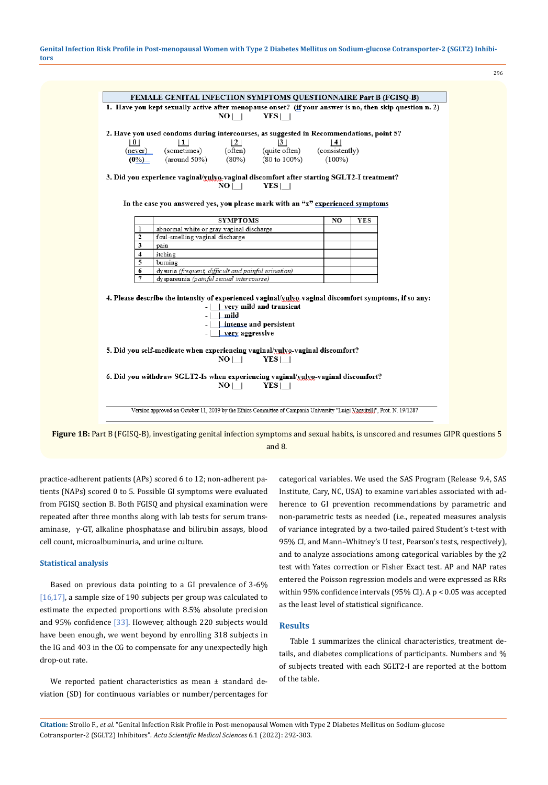

**Figure 1B:** Part B (FGISQ-B), investigating genital infection symptoms and sexual habits, is unscored and resumes GIPR questions 5 and 8.

practice-adherent patients (APs) scored 6 to 12; non-adherent patients (NAPs) scored 0 to 5. Possible GI symptoms were evaluated from FGISQ section B. Both FGISQ and physical examination were repeated after three months along with lab tests for serum transaminase, γ-GT, alkaline phosphatase and bilirubin assays, blood cell count, microalbuminuria, and urine culture.

## **Statistical analysis**

Based on previous data pointing to a GI prevalence of 3-6% [16,17], a sample size of 190 subjects per group was calculated to estimate the expected proportions with 8.5% absolute precision and 95% confidence [33]. However, although 220 subjects would have been enough, we went beyond by enrolling 318 subjects in the IG and 403 in the CG to compensate for any unexpectedly high drop-out rate.

We reported patient characteristics as mean ± standard deviation (SD) for continuous variables or number/percentages for categorical variables. We used the SAS Program (Release 9.4, SAS Institute, Cary, NC, USA) to examine variables associated with adherence to GI prevention recommendations by parametric and non-parametric tests as needed (i.e., repeated measures analysis of variance integrated by a two-tailed paired Student's t-test with 95% CI, and Mann–Whitney's U test, Pearson's tests, respectively), and to analyze associations among categorical variables by the  $\chi$ 2 test with Yates correction or Fisher Exact test. AP and NAP rates entered the Poisson regression models and were expressed as RRs within 95% confidence intervals (95% CI). A p < 0.05 was accepted as the least level of statistical significance.

296

## **Results**

Table 1 summarizes the clinical characteristics, treatment details, and diabetes complications of participants. Numbers and % of subjects treated with each SGLT2-I are reported at the bottom of the table.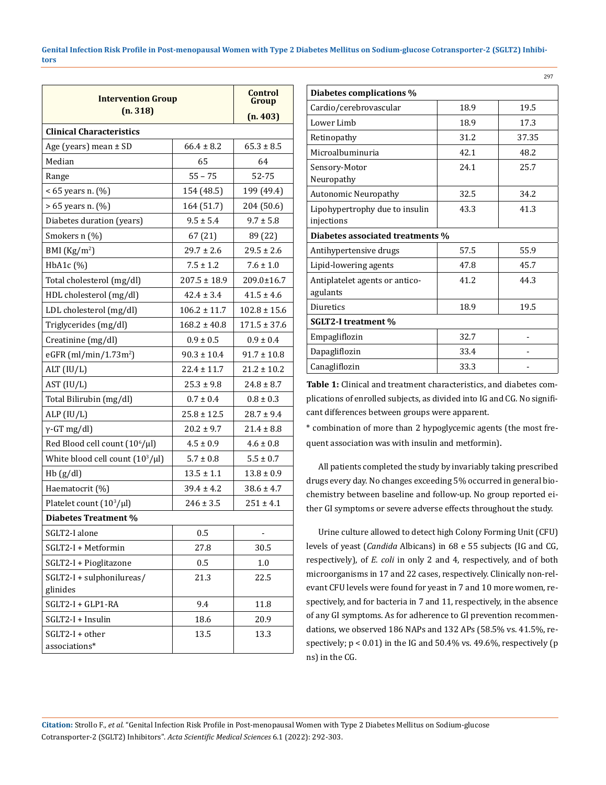| <b>Intervention Group</b>             | Control<br>Group |                  |  |  |  |  |
|---------------------------------------|------------------|------------------|--|--|--|--|
| (n. 318)                              | (n. 403)         |                  |  |  |  |  |
| <b>Clinical Characteristics</b>       |                  |                  |  |  |  |  |
| Age (years) mean $\pm$ SD             | $66.4 \pm 8.2$   | $65.3 \pm 8.5$   |  |  |  |  |
| Median                                | 65               | 64               |  |  |  |  |
| Range                                 | $55 - 75$        | 52-75            |  |  |  |  |
| $< 65$ years n. $(\%)$                | 154 (48.5)       | 199 (49.4)       |  |  |  |  |
| > 65 years n. (%)                     | 164 (51.7)       | 204 (50.6)       |  |  |  |  |
| Diabetes duration (years)             | $9.5 \pm 5.4$    | $9.7 \pm 5.8$    |  |  |  |  |
| Smokers n (%)                         | 67 (21)          | 89 (22)          |  |  |  |  |
| BMI $(Kg/m2)$                         | $29.7 \pm 2.6$   | $29.5 \pm 2.6$   |  |  |  |  |
| $HbA1c$ $(\%)$                        | $7.5 \pm 1.2$    | $7.6 \pm 1.0$    |  |  |  |  |
| Total cholesterol (mg/dl)             | $207.5 \pm 18.9$ | 209.0±16.7       |  |  |  |  |
| HDL cholesterol (mg/dl)               | $42.4 \pm 3.4$   | $41.5 \pm 4.6$   |  |  |  |  |
| LDL cholesterol (mg/dl)               | $106.2 \pm 11.7$ | $102.8 \pm 15.6$ |  |  |  |  |
| Triglycerides (mg/dl)                 | $168.2 \pm 40.8$ | $171.5 \pm 37.6$ |  |  |  |  |
| Creatinine (mg/dl)                    | $0.9 \pm 0.5$    | $0.9 \pm 0.4$    |  |  |  |  |
| eGFR (ml/min/1.73m <sup>2</sup> )     | $90.3 \pm 10.4$  | $91.7 \pm 10.8$  |  |  |  |  |
| ALT (IU/L)                            | $22.4 \pm 11.7$  | $21.2 \pm 10.2$  |  |  |  |  |
| AST (IU/L)                            | $25.3 \pm 9.8$   | $24.8 \pm 8.7$   |  |  |  |  |
| Total Bilirubin (mg/dl)               | $0.7 \pm 0.4$    | $0.8 \pm 0.3$    |  |  |  |  |
| ALP (IU/L)                            | $25.8 \pm 12.5$  | $28.7 \pm 9.4$   |  |  |  |  |
| $\gamma$ -GT mg/dl)                   | $20.2 \pm 9.7$   | $21.4 \pm 8.8$   |  |  |  |  |
| Red Blood cell count $(10^6/\mu l)$   | $4.5 \pm 0.9$    | $4.6 \pm 0.8$    |  |  |  |  |
| White blood cell count $(10^3/\mu l)$ | $5.7 \pm 0.8$    | $5.5 \pm 0.7$    |  |  |  |  |
| Hb(g/dl)                              | $13.5 \pm 1.1$   | $13.8 \pm 0.9$   |  |  |  |  |
| Haematocrit (%)                       | $39.4 \pm 4.2$   | $38.6 \pm 4.7$   |  |  |  |  |
| Platelet count $(10^3/\mu l)$         | $246 \pm 3.5$    | $251 \pm 4.1$    |  |  |  |  |
| Diabetes Treatment %                  |                  |                  |  |  |  |  |
| SGLT2-I alone                         | 0.5              |                  |  |  |  |  |
| SGLT2-I + Metformin                   | 27.8             | 30.5             |  |  |  |  |
| SGLT2-I + Pioglitazone                | 0.5              | 1.0              |  |  |  |  |
| SGLT2-I + sulphonilureas/             | 21.3             | 22.5             |  |  |  |  |
| glinides                              |                  |                  |  |  |  |  |
| SGLT2-I + GLP1-RA                     | 9.4              | 11.8             |  |  |  |  |
| SGLT2-I + Insulin                     | 18.6             | 20.9             |  |  |  |  |
| SGLT2-I + other<br>associations*      | 13.5             | 13.3             |  |  |  |  |

|                                  | 297   |  |  |  |  |
|----------------------------------|-------|--|--|--|--|
| Diabetes complications %         |       |  |  |  |  |
| 18.9                             | 19.5  |  |  |  |  |
| 18.9                             | 17.3  |  |  |  |  |
| 31.2                             | 37.35 |  |  |  |  |
| 42.1                             | 48.2  |  |  |  |  |
| 24.1                             | 25.7  |  |  |  |  |
| 32.5                             | 34.2  |  |  |  |  |
| 43.3                             | 41.3  |  |  |  |  |
| Diabetes associated treatments % |       |  |  |  |  |
| 57.5                             | 55.9  |  |  |  |  |
| 47.8                             | 45.7  |  |  |  |  |
| 41.2                             | 44.3  |  |  |  |  |
| 18.9                             | 19.5  |  |  |  |  |
| <b>SGLT2-I treatment %</b>       |       |  |  |  |  |
| 32.7                             |       |  |  |  |  |
| 33.4                             |       |  |  |  |  |
| 33.3                             |       |  |  |  |  |
|                                  |       |  |  |  |  |

**Table 1:** Clinical and treatment characteristics, and diabetes complications of enrolled subjects, as divided into IG and CG. No significant differences between groups were apparent.

\* combination of more than 2 hypoglycemic agents (the most frequent association was with insulin and metformin).

All patients completed the study by invariably taking prescribed drugs every day. No changes exceeding 5% occurred in general biochemistry between baseline and follow-up. No group reported either GI symptoms or severe adverse effects throughout the study.

Urine culture allowed to detect high Colony Forming Unit (CFU) levels of yeast (*Candida* Albicans) in 68 e 55 subjects (IG and CG, respectively), of *E. coli* in only 2 and 4, respectively, and of both microorganisms in 17 and 22 cases, respectively. Clinically non-relevant CFU levels were found for yeast in 7 and 10 more women, respectively, and for bacteria in 7 and 11, respectively, in the absence of any GI symptoms. As for adherence to GI prevention recommendations, we observed 186 NAPs and 132 APs (58.5% vs. 41.5%, respectively;  $p < 0.01$ ) in the IG and  $50.4\%$  vs. 49.6%, respectively (p ns) in the CG.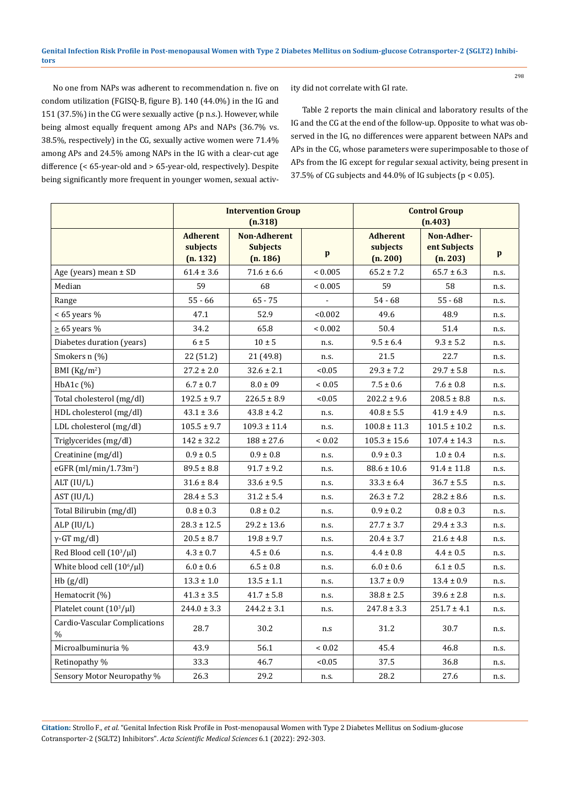No one from NAPs was adherent to recommendation n. five on condom utilization (FGISQ-B, figure B). 140 (44.0%) in the IG and 151 (37.5%) in the CG were sexually active (p n.s.). However, while being almost equally frequent among APs and NAPs (36.7% vs. 38.5%, respectively) in the CG, sexually active women were 71.4% among APs and 24.5% among NAPs in the IG with a clear-cut age difference (< 65-year-old and > 65-year-old, respectively). Despite being significantly more frequent in younger women, sexual activity did not correlate with GI rate.

Table 2 reports the main clinical and laboratory results of the IG and the CG at the end of the follow-up. Opposite to what was observed in the IG, no differences were apparent between NAPs and APs in the CG, whose parameters were superimposable to those of APs from the IG except for regular sexual activity, being present in 37.5% of CG subjects and 44.0% of IG subjects (p < 0.05).

|                                                | <b>Intervention Group</b><br>(n.318)    |                                                    |                          | <b>Control Group</b><br>(n.403)         |                                        |              |
|------------------------------------------------|-----------------------------------------|----------------------------------------------------|--------------------------|-----------------------------------------|----------------------------------------|--------------|
|                                                | <b>Adherent</b><br>subjects<br>(n. 132) | <b>Non-Adherent</b><br><b>Subjects</b><br>(n. 186) | $\mathbf{p}$             | <b>Adherent</b><br>subjects<br>(n. 200) | Non-Adher-<br>ent Subjects<br>(n. 203) | $\mathbf{p}$ |
| Age (years) mean $\pm$ SD                      | $61.4 \pm 3.6$                          | $71.6 \pm 6.6$                                     | ${}_{0.005}$             | $65.2 \pm 7.2$                          | $65.7 \pm 6.3$                         | n.s.         |
| Median                                         | 59                                      | 68                                                 | ${}< 0.005$              | 59                                      | 58                                     | n.s.         |
| Range                                          | $55 - 66$                               | $65 - 75$                                          | $\overline{\phantom{a}}$ | $54 - 68$                               | $55 - 68$                              | n.s.         |
| $< 65$ years %                                 | 47.1                                    | 52.9                                               | < 0.002                  | 49.6                                    | 48.9                                   | n.s.         |
| $\geq$ 65 years %                              | 34.2                                    | 65.8                                               | ${}_{0.002}$             | 50.4                                    | 51.4                                   | n.s.         |
| Diabetes duration (years)                      | $6 \pm 5$                               | $10 \pm 5$                                         | n.s.                     | $9.5 \pm 6.4$                           | $9.3 \pm 5.2$                          | n.s.         |
| Smokers n (%)                                  | 22 (51.2)                               | 21 (49.8)                                          | n.s.                     | 21.5                                    | 22.7                                   | n.s.         |
| BMI $(Kg/m2)$                                  | $27.2 \pm 2.0$                          | $32.6 \pm 2.1$                                     | < 0.05                   | $29.3 \pm 7.2$                          | $29.7 \pm 5.8$                         | n.s.         |
| $HbA1c$ $(\%)$                                 | $6.7 \pm 0.7$                           | $8.0 \pm 09$                                       | ${}< 0.05$               | $7.5 \pm 0.6$                           | $7.6 \pm 0.8$                          | n.s.         |
| Total cholesterol (mg/dl)                      | $192.5 \pm 9.7$                         | $226.5 \pm 8.9$                                    | < 0.05                   | $202.2 \pm 9.6$                         | $208.5 \pm 8.8$                        | n.s.         |
| HDL cholesterol (mg/dl)                        | $43.1 \pm 3.6$                          | $43.8 \pm 4.2$                                     | n.s.                     | $40.8 \pm 5.5$                          | $41.9 \pm 4.9$                         | n.s.         |
| LDL cholesterol (mg/dl)                        | $105.5 \pm 9.7$                         | $109.3 \pm 11.4$                                   | n.s.                     | $100.8 \pm 11.3$                        | $101.5 \pm 10.2$                       | n.s.         |
| Triglycerides (mg/dl)                          | $142 \pm 32.2$                          | $188 \pm 27.6$                                     | ${}_{0.02}$              | $105.3 \pm 15.6$                        | $107.4 \pm 14.3$                       | n.s.         |
| Creatinine (mg/dl)                             | $0.9 \pm 0.5$                           | $0.9 \pm 0.8$                                      | n.s.                     | $0.9 \pm 0.3$                           | $1.0 \pm 0.4$                          | n.s.         |
| eGFR $(ml/min/1.73m2)$                         | $89.5 \pm 8.8$                          | $91.7 \pm 9.2$                                     | n.s.                     | $88.6 \pm 10.6$                         | $91.4 \pm 11.8$                        | n.s.         |
| ALT $(IU/L)$                                   | $31.6 \pm 8.4$                          | $33.6 \pm 9.5$                                     | n.s.                     | $33.3 \pm 6.4$                          | $36.7 \pm 5.5$                         | n.s.         |
| AST (IU/L)                                     | $28.4 \pm 5.3$                          | $31.2 \pm 5.4$                                     | n.s.                     | $26.3 \pm 7.2$                          | $28.2 \pm 8.6$                         | n.s.         |
| Total Bilirubin (mg/dl)                        | $0.8 \pm 0.3$                           | $0.8 \pm 0.2$                                      | n.s.                     | $0.9 \pm 0.2$                           | $0.8 \pm 0.3$                          | n.s.         |
| ALP (IU/L)                                     | $28.3 \pm 12.5$                         | $29.2 \pm 13.6$                                    | n.s.                     | $27.7 \pm 3.7$                          | $29.4 \pm 3.3$                         | n.s.         |
| $\gamma$ -GT mg/dl)                            | $20.5 \pm 8.7$                          | $19.8 \pm 9.7$                                     | n.s.                     | $20.4 \pm 3.7$                          | $21.6 \pm 4.8$                         | n.s.         |
| Red Blood cell (10 <sup>3</sup> /µl)           | $4.3 \pm 0.7$                           | $4.5 \pm 0.6$                                      | n.s.                     | $4.4 \pm 0.8$                           | $4.4 \pm 0.5$                          | n.s.         |
| White blood cell (10 <sup>6</sup> /µl)         | $6.0 \pm 0.6$                           | $6.5 \pm 0.8$                                      | n.s.                     | $6.0 \pm 0.6$                           | $6.1 \pm 0.5$                          | n.s.         |
| Hb(g/dl)                                       | $13.3 \pm 1.0$                          | $13.5 \pm 1.1$                                     | n.s.                     | $13.7 \pm 0.9$                          | $13.4 \pm 0.9$                         | n.s.         |
| Hematocrit (%)                                 | $41.3 \pm 3.5$                          | $41.7 \pm 5.8$                                     | n.s.                     | $38.8 \pm 2.5$                          | $39.6 \pm 2.8$                         | n.s.         |
| Platelet count $(10^3/\mu l)$                  | $244.0 \pm 3.3$                         | $244.2 \pm 3.1$                                    | n.s.                     | $247.8 \pm 3.3$                         | $251.7 \pm 4.1$                        | n.s.         |
| Cardio-Vascular Complications<br>$\frac{0}{0}$ | 28.7                                    | 30.2                                               | n.s                      | 31.2                                    | 30.7                                   | n.s.         |
| Microalbuminuria %                             | 43.9                                    | 56.1                                               | ${}_{0.02}$              | 45.4                                    | 46.8                                   | n.s.         |
| Retinopathy %                                  | 33.3                                    | 46.7                                               | < 0.05                   | 37.5                                    | 36.8                                   | n.s.         |
| Sensory Motor Neuropathy %                     | 26.3                                    | 29.2                                               | n.s.                     | 28.2                                    | 27.6                                   | n.s.         |

**Citation:** Strollo F*., et al.* "Genital Infection Risk Profile in Post-menopausal Women with Type 2 Diabetes Mellitus on Sodium-glucose Cotransporter-2 (SGLT2) Inhibitors". *Acta Scientific Medical Sciences* 6.1 (2022): 292-303.

298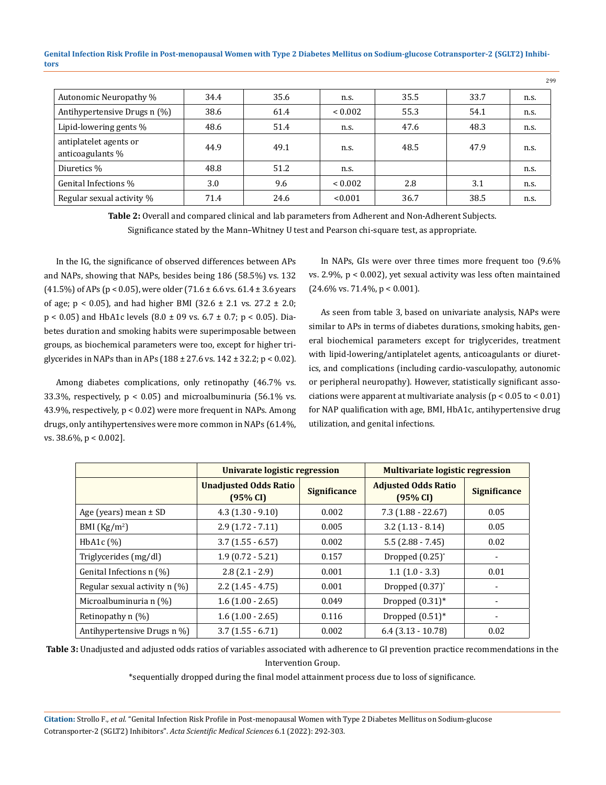| Autonomic Neuropathy %                     | 34.4 | 35.6 | n.s.         | 35.5 | 33.7 | n.s. |
|--------------------------------------------|------|------|--------------|------|------|------|
| Antihypertensive Drugs n (%)               | 38.6 | 61.4 | ${}_{0.002}$ | 55.3 | 54.1 | n.s. |
| Lipid-lowering gents %                     | 48.6 | 51.4 | n.s.         | 47.6 | 48.3 | n.s. |
| antiplatelet agents or<br>anticoagulants % | 44.9 | 49.1 | n.s.         | 48.5 | 47.9 | n.s. |
| Diuretics %                                | 48.8 | 51.2 | n.s.         |      |      | n.s. |
| Genital Infections %                       | 3.0  | 9.6  | ${}_{0.002}$ | 2.8  | 3.1  | n.s. |
| Regular sexual activity %                  | 71.4 | 24.6 | < 0.001      | 36.7 | 38.5 | n.s. |

**Table 2:** Overall and compared clinical and lab parameters from Adherent and Non-Adherent Subjects. Significance stated by the Mann–Whitney U test and Pearson chi-square test, as appropriate.

In the IG, the significance of observed differences between APs and NAPs, showing that NAPs, besides being 186 (58.5%) vs. 132 (41.5%) of APs (p < 0.05), were older (71.6  $\pm$  6.6 vs. 61.4  $\pm$  3.6 years of age;  $p < 0.05$ ), and had higher BMI (32.6  $\pm$  2.1 vs. 27.2  $\pm$  2.0;  $p < 0.05$ ) and HbA1c levels (8.0  $\pm$  09 vs. 6.7  $\pm$  0.7; p < 0.05). Diabetes duration and smoking habits were superimposable between groups, as biochemical parameters were too, except for higher triglycerides in NAPs than in APs (188 ± 27.6 vs. 142 ± 32.2; p < 0.02).

Among diabetes complications, only retinopathy (46.7% vs. 33.3%, respectively,  $p < 0.05$ ) and microalbuminuria (56.1% vs. 43.9%, respectively, p < 0.02) were more frequent in NAPs. Among drugs, only antihypertensives were more common in NAPs (61.4%, vs. 38.6%, p < 0.002].

In NAPs, GIs were over three times more frequent too (9.6% vs. 2.9%, p < 0.002), yet sexual activity was less often maintained  $(24.6\% \text{ vs. } 71.4\%, \text{ p} < 0.001).$ 

299

As seen from table 3, based on univariate analysis, NAPs were similar to APs in terms of diabetes durations, smoking habits, general biochemical parameters except for triglycerides, treatment with lipid-lowering/antiplatelet agents, anticoagulants or diuretics, and complications (including cardio-vasculopathy, autonomic or peripheral neuropathy). However, statistically significant associations were apparent at multivariate analysis (p < 0.05 to < 0.01) for NAP qualification with age, BMI, HbA1c, antihypertensive drug utilization, and genital infections.

|                                 | Univarate logistic regression            |                     | <b>Multivariate logistic regression</b> |                     |  |
|---------------------------------|------------------------------------------|---------------------|-----------------------------------------|---------------------|--|
|                                 | <b>Unadjusted Odds Ratio</b><br>(95% CI) | <b>Significance</b> | <b>Adjusted Odds Ratio</b><br>(95% CI)  | <b>Significance</b> |  |
| Age (years) mean $\pm$ SD       | $4.3(1.30 - 9.10)$                       | 0.002               | $7.3(1.88 - 22.67)$                     | 0.05                |  |
| BMI $(Kg/m2)$                   | $2.9(1.72 - 7.11)$                       | 0.005               | $3.2$ (1.13 - 8.14)                     | 0.05                |  |
| HbA <sub>1</sub> c $(\%)$       | $3.7(1.55 - 6.57)$                       | 0.002               | $5.5(2.88 - 7.45)$                      | 0.02                |  |
| Triglycerides (mg/dl)           | $1.9(0.72 - 5.21)$                       | 0.157               | Dropped $(0.25)^*$                      |                     |  |
| Genital Infections n (%)        | $2.8(2.1 - 2.9)$                         | 0.001               | $1.1(1.0 - 3.3)$                        | 0.01                |  |
| Regular sexual activity $n$ (%) | $2.2$ (1.45 - 4.75)                      | 0.001               | Dropped $(0.37)$ <sup>*</sup>           |                     |  |
| Microalbuminuria n (%)          | $1.6(1.00 - 2.65)$                       | 0.049               | Dropped $(0.31)$ *                      |                     |  |
| Retinopathy $n$ (%)             | $1.6(1.00 - 2.65)$                       | 0.116               | Dropped $(0.51)$ <sup>*</sup>           | ۰                   |  |
| Antihypertensive Drugs n %)     | $3.7(1.55 - 6.71)$                       | 0.002               | $6.4$ (3.13 - 10.78)                    | 0.02                |  |

**Table 3:** Unadjusted and adjusted odds ratios of variables associated with adherence to GI prevention practice recommendations in the Intervention Group.

\*sequentially dropped during the final model attainment process due to loss of significance.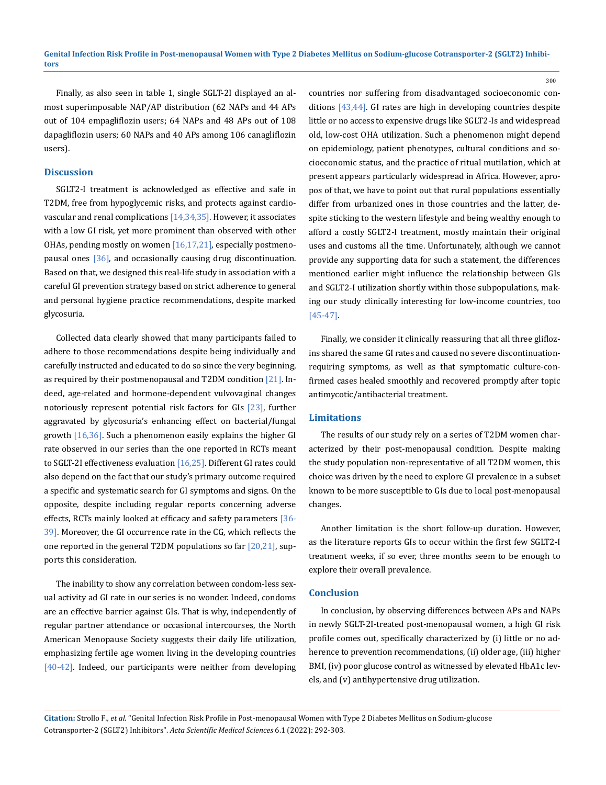Finally, as also seen in table 1, single SGLT-2I displayed an almost superimposable NAP/AP distribution (62 NAPs and 44 APs out of 104 empagliflozin users; 64 NAPs and 48 APs out of 108 dapagliflozin users; 60 NAPs and 40 APs among 106 canagliflozin users).

#### **Discussion**

SGLT2-I treatment is acknowledged as effective and safe in T2DM, free from hypoglycemic risks, and protects against cardiovascular and renal complications [14,34,35]. However, it associates with a low GI risk, yet more prominent than observed with other OHAs, pending mostly on women [16,17,21], especially postmenopausal ones [36], and occasionally causing drug discontinuation. Based on that, we designed this real-life study in association with a careful GI prevention strategy based on strict adherence to general and personal hygiene practice recommendations, despite marked glycosuria.

Collected data clearly showed that many participants failed to adhere to those recommendations despite being individually and carefully instructed and educated to do so since the very beginning, as required by their postmenopausal and T2DM condition [21]. Indeed, age-related and hormone-dependent vulvovaginal changes notoriously represent potential risk factors for GIs [23], further aggravated by glycosuria's enhancing effect on bacterial/fungal growth  $[16,36]$ . Such a phenomenon easily explains the higher GI rate observed in our series than the one reported in RCTs meant to SGLT-2I effectiveness evaluation  $[16,25]$ . Different GI rates could also depend on the fact that our study's primary outcome required a specific and systematic search for GI symptoms and signs. On the opposite, despite including regular reports concerning adverse effects, RCTs mainly looked at efficacy and safety parameters [36-39]. Moreover, the GI occurrence rate in the CG, which reflects the one reported in the general T2DM populations so far  $[20,21]$ , supports this consideration.

The inability to show any correlation between condom-less sexual activity ad GI rate in our series is no wonder. Indeed, condoms are an effective barrier against GIs. That is why, independently of regular partner attendance or occasional intercourses, the North American Menopause Society suggests their daily life utilization, emphasizing fertile age women living in the developing countries [40-42]. Indeed, our participants were neither from developing

countries nor suffering from disadvantaged socioeconomic conditions [43,44]. GI rates are high in developing countries despite little or no access to expensive drugs like SGLT2-Is and widespread old, low-cost OHA utilization. Such a phenomenon might depend on epidemiology, patient phenotypes, cultural conditions and socioeconomic status, and the practice of ritual mutilation, which at present appears particularly widespread in Africa. However, apropos of that, we have to point out that rural populations essentially differ from urbanized ones in those countries and the latter, despite sticking to the western lifestyle and being wealthy enough to afford a costly SGLT2-I treatment, mostly maintain their original uses and customs all the time. Unfortunately, although we cannot provide any supporting data for such a statement, the differences mentioned earlier might influence the relationship between GIs and SGLT2-I utilization shortly within those subpopulations, making our study clinically interesting for low-income countries, too [45-47].

300

Finally, we consider it clinically reassuring that all three gliflozins shared the same GI rates and caused no severe discontinuationrequiring symptoms, as well as that symptomatic culture-confirmed cases healed smoothly and recovered promptly after topic antimycotic/antibacterial treatment.

#### **Limitations**

The results of our study rely on a series of T2DM women characterized by their post-menopausal condition. Despite making the study population non-representative of all T2DM women, this choice was driven by the need to explore GI prevalence in a subset known to be more susceptible to GIs due to local post-menopausal changes.

Another limitation is the short follow-up duration. However, as the literature reports GIs to occur within the first few SGLT2-I treatment weeks, if so ever, three months seem to be enough to explore their overall prevalence.

#### **Conclusion**

In conclusion, by observing differences between APs and NAPs in newly SGLT-2I-treated post-menopausal women, a high GI risk profile comes out, specifically characterized by (i) little or no adherence to prevention recommendations, (ii) older age, (iii) higher BMI, (iv) poor glucose control as witnessed by elevated HbA1c levels, and (v) antihypertensive drug utilization.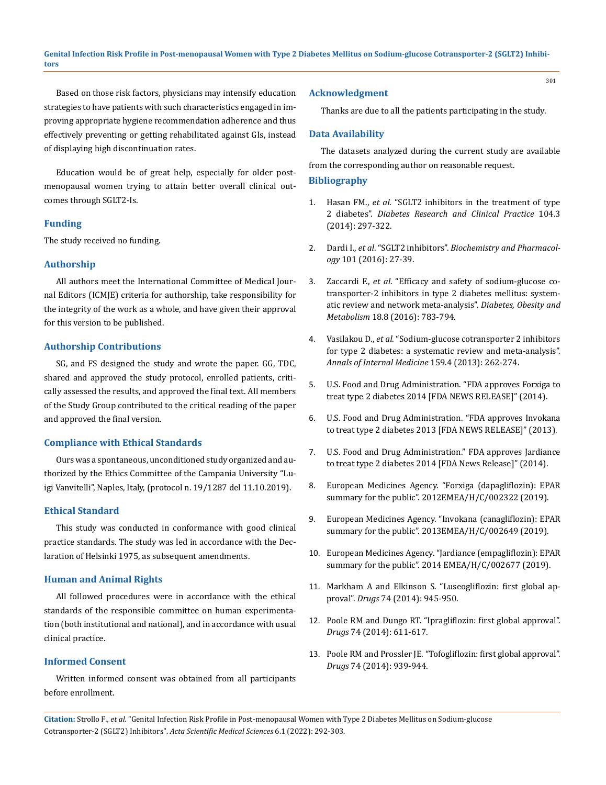Based on those risk factors, physicians may intensify education strategies to have patients with such characteristics engaged in improving appropriate hygiene recommendation adherence and thus effectively preventing or getting rehabilitated against GIs, instead of displaying high discontinuation rates.

Education would be of great help, especially for older postmenopausal women trying to attain better overall clinical outcomes through SGLT2-Is.

# **Funding**

The study received no funding.

# **Authorship**

All authors meet the International Committee of Medical Journal Editors (ICMJE) criteria for authorship, take responsibility for the integrity of the work as a whole, and have given their approval for this version to be published.

# **Authorship Contributions**

SG, and FS designed the study and wrote the paper. GG, TDC, shared and approved the study protocol, enrolled patients, critically assessed the results, and approved the final text. All members of the Study Group contributed to the critical reading of the paper and approved the final version.

# **Compliance with Ethical Standards**

Ours was a spontaneous, unconditioned study organized and authorized by the Ethics Committee of the Campania University "Luigi Vanvitelli", Naples, Italy, (protocol n. 19/1287 del 11.10.2019).

# **Ethical Standard**

This study was conducted in conformance with good clinical practice standards. The study was led in accordance with the Declaration of Helsinki 1975, as subsequent amendments.

# **Human and Animal Rights**

All followed procedures were in accordance with the ethical standards of the responsible committee on human experimentation (both institutional and national), and in accordance with usual clinical practice.

# **Informed Consent**

Written informed consent was obtained from all participants before enrollment.

#### **Acknowledgment**

Thanks are due to all the patients participating in the study.

# **Data Availability**

The datasets analyzed during the current study are available from the corresponding author on reasonable request.

#### **Bibliography**

- 1. Hasan FM., *et al*[. "SGLT2 inhibitors in the treatment of type](https://pubmed.ncbi.nlm.nih.gov/24735709/)  2 diabetes". *[Diabetes Research and Clinical Practice](https://pubmed.ncbi.nlm.nih.gov/24735709/)* 104.3 [\(2014\): 297-322.](https://pubmed.ncbi.nlm.nih.gov/24735709/)
- 2. Dardi I., *et al*. "SGLT2 inhibitors". *[Biochemistry and Pharmacol](https://pubmed.ncbi.nlm.nih.gov/26362302/)ogy* [101 \(2016\): 27-39.](https://pubmed.ncbi.nlm.nih.gov/26362302/)
- 3. Zaccardi F., *et al*[. "Efficacy and safety of sodium-glucose co](https://pubmed.ncbi.nlm.nih.gov/27059700/)[transporter-2 inhibitors in type 2 diabetes mellitus: system](https://pubmed.ncbi.nlm.nih.gov/27059700/)[atic review and network meta-analysis".](https://pubmed.ncbi.nlm.nih.gov/27059700/) *Diabetes, Obesity and Metabolism* [18.8 \(2016\): 783-794.](https://pubmed.ncbi.nlm.nih.gov/27059700/)
- 4. Vasilakou D., *et al*[. "Sodium-glucose cotransporter 2 inhibitors](https://pubmed.ncbi.nlm.nih.gov/24026259/)  [for type 2 diabetes: a systematic review and meta-analysis".](https://pubmed.ncbi.nlm.nih.gov/24026259/)  *[Annals of Internal Medicine](https://pubmed.ncbi.nlm.nih.gov/24026259/)* 159.4 (2013): 262-274.
- 5. U.S. Food and Drug Administration. "FDA approves Forxiga to treat type 2 diabetes 2014 [FDA NEWS RELEASE]" (2014).
- 6. U.S. Food and Drug Administration. "FDA approves Invokana to treat type 2 diabetes 2013 [FDA NEWS RELEASE]" (2013).
- 7. U.S. Food and Drug Administration." FDA approves Jardiance to treat type 2 diabetes 2014 [FDA News Release]" (2014).
- 8. European Medicines Agency. "Forxiga (dapagliflozin): EPAR summary for the public". 2012EMEA/H/C/002322 (2019).
- 9. [European Medicines Agency. "Invokana \(canagliflozin\): EPAR](http://www.ema.europa.eu/docs/en_GB/document_library/EPAR_-_Summary_for_the_public/human/002649/WC500156455.pdf)  [summary for the public". 2013EMEA/H/C/002649 \(2019\).](http://www.ema.europa.eu/docs/en_GB/document_library/EPAR_-_Summary_for_the_public/human/002649/WC500156455.pdf)
- 10. [European Medicines Agency. "Jardiance \(empagliflozin\): EPAR](http://www.ema.europa.eu/docs/en_GB/document_library/EPAR_-_Summary_for_the_public/human/002677/WC500168595.pdf)  [summary for the public". 2014 EMEA/H/C/002677 \(2019\).](http://www.ema.europa.eu/docs/en_GB/document_library/EPAR_-_Summary_for_the_public/human/002677/WC500168595.pdf)
- 11. [Markham A and Elkinson S. "Luseogliflozin: first global ap](https://pubmed.ncbi.nlm.nih.gov/24848756/)proval". *Drugs* [74 \(2014\): 945-950.](https://pubmed.ncbi.nlm.nih.gov/24848756/)
- 12. [Poole RM and Dungo RT. "Ipragliflozin: first global approval".](https://pubmed.ncbi.nlm.nih.gov/24668021/)  *Drugs* [74 \(2014\): 611-617.](https://pubmed.ncbi.nlm.nih.gov/24668021/)
- 13. [Poole RM and Prossler JE. "Tofogliflozin: first global approval".](https://pubmed.ncbi.nlm.nih.gov/24848755/)  *Drugs* [74 \(2014\): 939-944.](https://pubmed.ncbi.nlm.nih.gov/24848755/)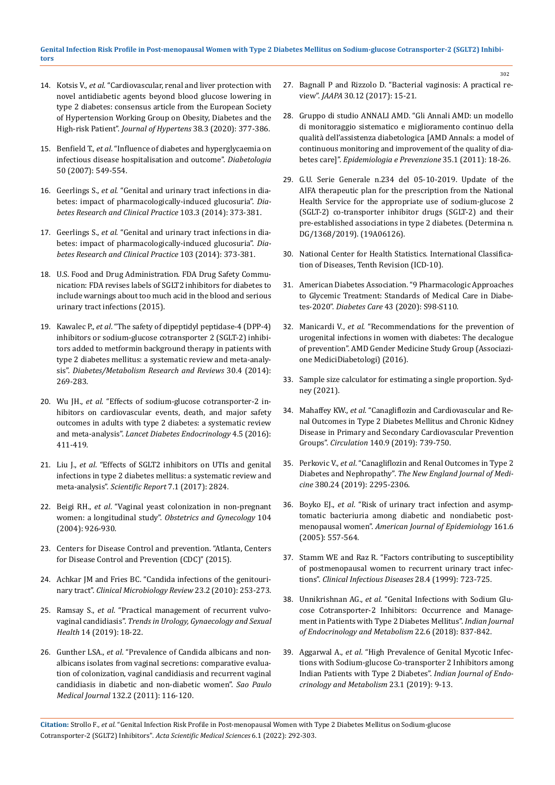- 14. Kotsis V., *et al*[. "Cardiovascular, renal and liver protection with](https://pubmed.ncbi.nlm.nih.gov/31764586/)  [novel antidiabetic agents beyond blood glucose lowering in](https://pubmed.ncbi.nlm.nih.gov/31764586/)  [type 2 diabetes: consensus article from the European Society](https://pubmed.ncbi.nlm.nih.gov/31764586/)  [of Hypertension Working Group on Obesity, Diabetes and the](https://pubmed.ncbi.nlm.nih.gov/31764586/)  High-risk Patient". *[Journal of Hypertens](https://pubmed.ncbi.nlm.nih.gov/31764586/)* 38.3 (2020): 377-386.
- 15. Benfield T., *et al*[. "Influence of diabetes and hyperglycaemia on](https://pubmed.ncbi.nlm.nih.gov/17187246/)  [infectious disease hospitalisation and outcome".](https://pubmed.ncbi.nlm.nih.gov/17187246/) *Diabetologia* [50 \(2007\): 549-554.](https://pubmed.ncbi.nlm.nih.gov/17187246/)
- 16. Geerlings S., *et al*[. "Genital and urinary tract infections in dia](https://pubmed.ncbi.nlm.nih.gov/24529566/)[betes: impact of pharmacologically-induced glucosuria".](https://pubmed.ncbi.nlm.nih.gov/24529566/) *Dia[betes Research and Clinical Practice](https://pubmed.ncbi.nlm.nih.gov/24529566/)* 103.3 (2014): 373-381.
- 17. Geerlings S., *et al*[. "Genital and urinary tract infections in dia](https://pubmed.ncbi.nlm.nih.gov/24529566/)[betes: impact of pharmacologically-induced glucosuria".](https://pubmed.ncbi.nlm.nih.gov/24529566/) *Dia[betes Research and Clinical Practice](https://pubmed.ncbi.nlm.nih.gov/24529566/)* 103 (2014): 373-381.
- 18. [U.S. Food and Drug Administration. FDA Drug Safety Commu](http://www.fda.gov/Drugs/DrugSafety/ucm475463.htm)[nication: FDA revises labels of SGLT2 inhibitors for diabetes to](http://www.fda.gov/Drugs/DrugSafety/ucm475463.htm)  [include warnings about too much acid in the blood and serious](http://www.fda.gov/Drugs/DrugSafety/ucm475463.htm)  [urinary tract infections \(2015\).](http://www.fda.gov/Drugs/DrugSafety/ucm475463.htm)
- 19. Kawalec P., *et al*[. "The safety of dipeptidyl peptidase-4 \(DPP-4\)](https://pubmed.ncbi.nlm.nih.gov/24829965/)  [inhibitors or sodium-glucose cotransporter 2 \(SGLT-2\) inhibi](https://pubmed.ncbi.nlm.nih.gov/24829965/)[tors added to metformin background therapy in patients with](https://pubmed.ncbi.nlm.nih.gov/24829965/)  [type 2 diabetes mellitus: a systematic review and meta-analy](https://pubmed.ncbi.nlm.nih.gov/24829965/)sis". *[Diabetes/Metabolism Research and Reviews](https://pubmed.ncbi.nlm.nih.gov/24829965/)* 30.4 (2014): [269-283.](https://pubmed.ncbi.nlm.nih.gov/24829965/)
- 20. Wu JH., *et al*[. "Effects of sodium-glucose cotransporter-2 in](https://pubmed.ncbi.nlm.nih.gov/27009625/)[hibitors on cardiovascular events, death, and major safety](https://pubmed.ncbi.nlm.nih.gov/27009625/)  [outcomes in adults with type 2 diabetes: a systematic review](https://pubmed.ncbi.nlm.nih.gov/27009625/)  and meta-analysis". *[Lancet Diabetes Endocrinology](https://pubmed.ncbi.nlm.nih.gov/27009625/)* 4.5 (2016): [411-419.](https://pubmed.ncbi.nlm.nih.gov/27009625/)
- 21. Liu J., *et al*[. "Effects of SGLT2 inhibitors on UTIs and genital](https://pubmed.ncbi.nlm.nih.gov/28588220/)  [infections in type 2 diabetes mellitus: a systematic review and](https://pubmed.ncbi.nlm.nih.gov/28588220/)  meta-analysis". *[Scientific Report](https://pubmed.ncbi.nlm.nih.gov/28588220/)* 7.1 (2017): 2824.
- 22. Beigi RH., *et al*[. "Vaginal yeast colonization in non-pregnant](https://pubmed.ncbi.nlm.nih.gov/15516380/)  women: a longitudinal study". *[Obstetrics and Gynecology](https://pubmed.ncbi.nlm.nih.gov/15516380/)* 104 [\(2004\): 926‐930.](https://pubmed.ncbi.nlm.nih.gov/15516380/)
- 23. Centers for Disease Control and prevention. "Atlanta, Centers for Disease Control and Prevention (CDC)" (2015).
- 24. [Achkar JM and Fries BC. "Candida infections of the genitouri](https://www.ncbi.nlm.nih.gov/pmc/articles/PMC2863365/)nary tract". *[Clinical Microbiology Review](https://www.ncbi.nlm.nih.gov/pmc/articles/PMC2863365/)* 23.2 (2010): 253‐273.
- 25. Ramsay S., *et al*[. "Practical management of recurrent vulvo](https://onlinelibrary.wiley.com/doi/full/10.1002/tre.127)vaginal candidiasis". *[Trends in Urology, Gynaecology and Sexual](https://onlinelibrary.wiley.com/doi/full/10.1002/tre.127)  Health* [14 \(2019\): 18‐22.](https://onlinelibrary.wiley.com/doi/full/10.1002/tre.127)
- 26. Gunther LSA., *et al*. "Prevalence of Candida albicans and non‐ albicans isolates from vaginal secretions: comparative evaluation of colonization, vaginal candidiasis and recurrent vaginal candidiasis in diabetic and non‐diabetic women". *Sao Paulo Medical Journal* 132.2 (2011): 116‐120.
- 27. [Bagnall P and Rizzolo D. "Bacterial vaginosis: A practical re](https://pubmed.ncbi.nlm.nih.gov/29135564/)view". *JAAPA* [30.12 \(2017\): 15-21.](https://pubmed.ncbi.nlm.nih.gov/29135564/)
- 28. [Gruppo di studio ANNALI AMD. "Gli Annali AMD: un modello](https://www.researchgate.net/publication/299018356_AMD_Annals_a_model_of_continuous_monitoring_and_improvement_of_the_quality_of_diabetes_care)  [di monitoraggio sistematico e miglioramento continuo della](https://www.researchgate.net/publication/299018356_AMD_Annals_a_model_of_continuous_monitoring_and_improvement_of_the_quality_of_diabetes_care)  [qualità dell'assistenza diabetologica \[AMD Annals: a model of](https://www.researchgate.net/publication/299018356_AMD_Annals_a_model_of_continuous_monitoring_and_improvement_of_the_quality_of_diabetes_care)  [continuous monitoring and improvement of the quality of dia](https://www.researchgate.net/publication/299018356_AMD_Annals_a_model_of_continuous_monitoring_and_improvement_of_the_quality_of_diabetes_care)betes care]". *[Epidemiologia e Prevenzione](https://www.researchgate.net/publication/299018356_AMD_Annals_a_model_of_continuous_monitoring_and_improvement_of_the_quality_of_diabetes_care)* 35.1 (2011): 18-26.
- 29. G.U. Serie Generale n.234 del 05-10-2019. Update of the AIFA therapeutic plan for the prescription from the National Health Service for the appropriate use of sodium-glucose 2 (SGLT-2) co-transporter inhibitor drugs (SGLT-2) and their pre-established associations in type 2 diabetes. (Determina n. DG/1368/2019). (19A06126).
- 30. [National Center for Health Statistics. International Classifica](https://www.cdc.gov/nchs/icd/icd10.htm)[tion of Diseases, Tenth Revision \(ICD-10\).](https://www.cdc.gov/nchs/icd/icd10.htm)
- 31. [American Diabetes Association. "9 Pharmacologic Approaches](https://diabetesjournals.org/care/article/43/Supplement_1/S98/30822/9-Pharmacologic-Approaches-to-Glycemic-Treatment)  [to Glycemic Treatment: Standards of Medical Care in Diabe](https://diabetesjournals.org/care/article/43/Supplement_1/S98/30822/9-Pharmacologic-Approaches-to-Glycemic-Treatment)tes-2020". *Diabetes Care* [43 \(2020\): S98-S110.](https://diabetesjournals.org/care/article/43/Supplement_1/S98/30822/9-Pharmacologic-Approaches-to-Glycemic-Treatment)
- 32. Manicardi V., *et al*[. "Recommendations for the prevention of](https://aemmedi.it/wp-content/uploads/2016/09/Prevenzione_Inf_gen_donna.pdf)  [urogenital infections in women with diabetes: The decalogue](https://aemmedi.it/wp-content/uploads/2016/09/Prevenzione_Inf_gen_donna.pdf)  [of prevention". AMD Gender Medicine Study Group \(Associazi](https://aemmedi.it/wp-content/uploads/2016/09/Prevenzione_Inf_gen_donna.pdf)[one MediciDiabetologi\) \(2016\).](https://aemmedi.it/wp-content/uploads/2016/09/Prevenzione_Inf_gen_donna.pdf)
- 33. [Sample size calculator for estimating a single proportion. Syd](http://statulator.com/SampleSize/ss1P.html)[ney \(2021\).](http://statulator.com/SampleSize/ss1P.html)
- 34. Mahaffey KW., *et al*[. "Canagliflozin and Cardiovascular and Re](https://pubmed.ncbi.nlm.nih.gov/31291786/)[nal Outcomes in Type 2 Diabetes Mellitus and Chronic Kidney](https://pubmed.ncbi.nlm.nih.gov/31291786/)  [Disease in Primary and Secondary Cardiovascular Prevention](https://pubmed.ncbi.nlm.nih.gov/31291786/)  Groups". *Circulation* [140.9 \(2019\): 739-750.](https://pubmed.ncbi.nlm.nih.gov/31291786/)
- 35. Perkovic V., *et al*[. "Canagliflozin and Renal Outcomes in Type 2](https://www.nejm.org/doi/10.1056/NEJMoa1811744)  Diabetes and Nephropathy". *[The New England Journal of Medi](https://www.nejm.org/doi/10.1056/NEJMoa1811744)cine* [380.24 \(2019\): 2295-2306.](https://www.nejm.org/doi/10.1056/NEJMoa1811744)
- 36. Boyko EJ., *et al*[. "Risk of urinary tract infection and asymp](https://pubmed.ncbi.nlm.nih.gov/15746472/)[tomatic bacteriuria among diabetic and nondiabetic post](https://pubmed.ncbi.nlm.nih.gov/15746472/)menopausal women". *[American Journal of Epidemiology](https://pubmed.ncbi.nlm.nih.gov/15746472/)* 161.6 [\(2005\): 557-564.](https://pubmed.ncbi.nlm.nih.gov/15746472/)
- 37. [Stamm WE and Raz R. "Factors contributing to susceptibility](https://pubmed.ncbi.nlm.nih.gov/10825026/)  [of postmenopausal women to recurrent urinary tract infec](https://pubmed.ncbi.nlm.nih.gov/10825026/)tions". *[Clinical Infectious Diseases](https://pubmed.ncbi.nlm.nih.gov/10825026/)* 28.4 (1999): 723-725.
- 38. Unnikrishnan AG., *et al*[. "Genital Infections with Sodium Glu](https://pubmed.ncbi.nlm.nih.gov/30766827/)[cose Cotransporter-2 Inhibitors: Occurrence and Manage](https://pubmed.ncbi.nlm.nih.gov/30766827/)[ment in Patients with Type 2 Diabetes Mellitus".](https://pubmed.ncbi.nlm.nih.gov/30766827/) *Indian Journal [of Endocrinology and Metabolism](https://pubmed.ncbi.nlm.nih.gov/30766827/)* 22.6 (2018): 837-842.
- 39. Aggarwal A., *et al*[. "High Prevalence of Genital Mycotic Infec](https://pubmed.ncbi.nlm.nih.gov/31016146/)[tions with Sodium-glucose Co-transporter 2 Inhibitors among](https://pubmed.ncbi.nlm.nih.gov/31016146/)  [Indian Patients with Type 2 Diabetes".](https://pubmed.ncbi.nlm.nih.gov/31016146/) *Indian Journal of Endo[crinology and Metabolism](https://pubmed.ncbi.nlm.nih.gov/31016146/)* 23.1 (2019): 9-13.

**Citation:** Strollo F*., et al.* "Genital Infection Risk Profile in Post-menopausal Women with Type 2 Diabetes Mellitus on Sodium-glucose Cotransporter-2 (SGLT2) Inhibitors". *Acta Scientific Medical Sciences* 6.1 (2022): 292-303.